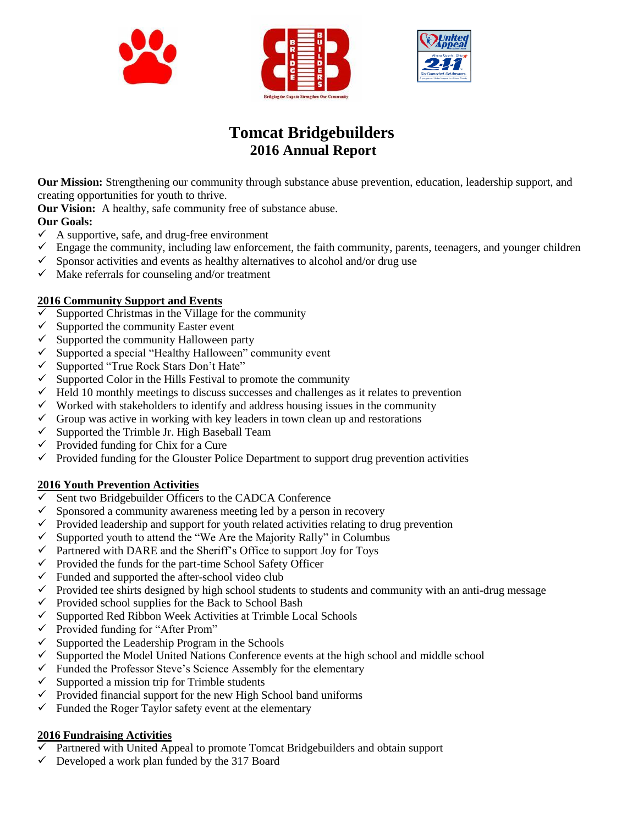





# **Tomcat Bridgebuilders 2016 Annual Report**

**Our Mission:** Strengthening our community through substance abuse prevention, education, leadership support, and creating opportunities for youth to thrive.

**Our Vision:** A healthy, safe community free of substance abuse.

#### **Our Goals:**

- $\checkmark$  A supportive, safe, and drug-free environment  $\checkmark$  Engage the community, including law enforcer
- Engage the community, including law enforcement, the faith community, parents, teenagers, and younger children
- $\checkmark$  Sponsor activities and events as healthy alternatives to alcohol and/or drug use
- $\checkmark$  Make referrals for counseling and/or treatment

#### **2016 Community Support and Events**

- $\checkmark$  Supported Christmas in the Village for the community
- $\checkmark$  Supported the community Easter event
- $\checkmark$  Supported the community Halloween party
- $\checkmark$  Supported a special "Healthy Halloween" community event
- $\checkmark$  Supported "True Rock Stars Don't Hate"<br> $\checkmark$  Supported Color in the Hills Festival to pr
- Supported Color in the Hills Festival to promote the community
- $\checkmark$  Held 10 monthly meetings to discuss successes and challenges as it relates to prevention
- $\checkmark$  Worked with stakeholders to identify and address housing issues in the community
- $\checkmark$  Group was active in working with key leaders in town clean up and restorations
- $\checkmark$  Supported the Trimble Jr. High Baseball Team
- $\checkmark$  Provided funding for Chix for a Cure
- $\checkmark$  Provided funding for the Glouster Police Department to support drug prevention activities

#### **2016 Youth Prevention Activities**

- $\overline{\smile}$  Sent two Bridgebuilder Officers to the CADCA Conference  $\overline{\smile}$  Sponsored a community awareness meeting led by a person
- Sponsored a community awareness meeting led by a person in recovery
- $\checkmark$  Provided leadership and support for youth related activities relating to drug prevention
- $\checkmark$  Supported youth to attend the "We Are the Majority Rally" in Columbus
- $\checkmark$  Partnered with DARE and the Sheriff's Office to support Joy for Toys
- $\checkmark$  Provided the funds for the part-time School Safety Officer
- $\checkmark$  Funded and supported the after-school video club
- $\checkmark$  Provided tee shirts designed by high school students to students and community with an anti-drug message
- $\checkmark$  Provided school supplies for the Back to School Bash
- $\checkmark$  Supported Red Ribbon Week Activities at Trimble Local Schools
- $\checkmark$  Provided funding for "After Prom"
- $\checkmark$  Supported the Leadership Program in the Schools
- $\checkmark$  Supported the Model United Nations Conference events at the high school and middle school
- $\checkmark$  Funded the Professor Steve's Science Assembly for the elementary
- $\checkmark$  Supported a mission trip for Trimble students
- $\checkmark$  Provided financial support for the new High School band uniforms
- $\checkmark$  Funded the Roger Taylor safety event at the elementary

### **2016 Fundraising Activities**

- $\checkmark$  Partnered with United Appeal to promote Tomcat Bridgebuilders and obtain support
- $\checkmark$  Developed a work plan funded by the 317 Board